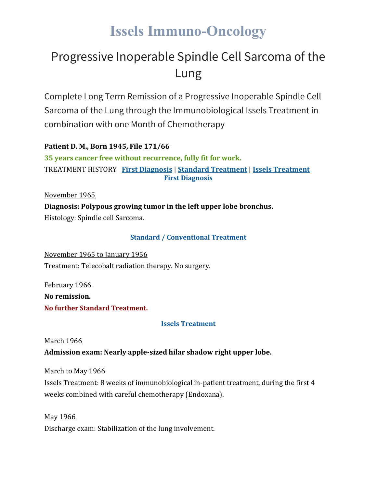# **Issels Immuno-Oncology**

# Progressive Inoperable Spindle Cell Sarcoma of the Lung

Complete Long Term Remission of a Progressive Inoperable Spindle Cell Sarcoma of the Lung through the Immunobiological Issels Treatment in combination with one Month of Chemotherapy

**Patient D. M., Born 1945, File 171/66**

**35 years cancer free without recurrence, fully fit for work.** TREATMENT HISTORY **First [Diagnosis](https://issels.com/cancer-cases/sarcoma-6-progressive-inoperable-spindle-cell-sarcoma-of-lung/#First)** | **Standard [Treatment](https://issels.com/cancer-cases/sarcoma-6-progressive-inoperable-spindle-cell-sarcoma-of-lung/#Standard)** | **Issels [Treatment](https://issels.com/cancer-cases/sarcoma-6-progressive-inoperable-spindle-cell-sarcoma-of-lung/#Issels) First Diagnosis**

November 1965 **Diagnosis: Polypous growing tumor in the left upper lobe bronchus.** Histology: Spindle cell Sarcoma.

# **Standard / Conventional Treatment**

November 1965 to January 1956 Treatment: Telecobalt radiation therapy. No surgery.

February 1966 **No remission. No further Standard Treatment.**

#### **Issels Treatment**

#### **March 1966**

**Admission exam: Nearly apple-sized hilar shadow right upper lobe.**

March to May 1966

Issels Treatment: 8 weeks of immunobiological in-patient treatment, during the first 4 weeks combined with careful chemotherapy (Endoxana).

May 1966

Discharge exam: Stabilization of the lung involvement.